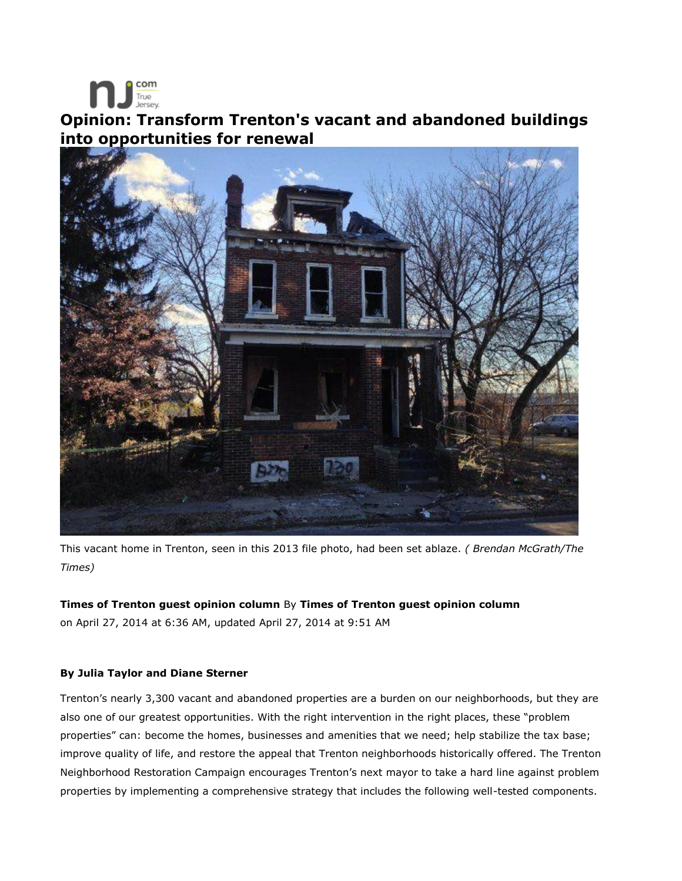

# **Opinion: Transform Trenton's vacant and abandoned buildings into opportunities for renewal**



This vacant home in Trenton, seen in this 2013 file photo, had been set ablaze. *( Brendan McGrath/The Times)*

## **Times of Trenton guest opinion column** By **Times of Trenton guest opinion column**

on April 27, 2014 at 6:36 AM, updated April 27, 2014 at 9:51 AM

## **By Julia Taylor and Diane Sterner**

Trenton's nearly 3,300 vacant and abandoned properties are a burden on our neighborhoods, but they are also one of our greatest opportunities. With the right intervention in the right places, these "problem properties" can: become the homes, businesses and amenities that we need; help stabilize the tax base; improve quality of life, and restore the appeal that Trenton neighborhoods historically offered. The Trenton Neighborhood Restoration Campaign encourages Trenton's next mayor to take a hard line against problem properties by implementing a comprehensive strategy that includes the following well-tested components.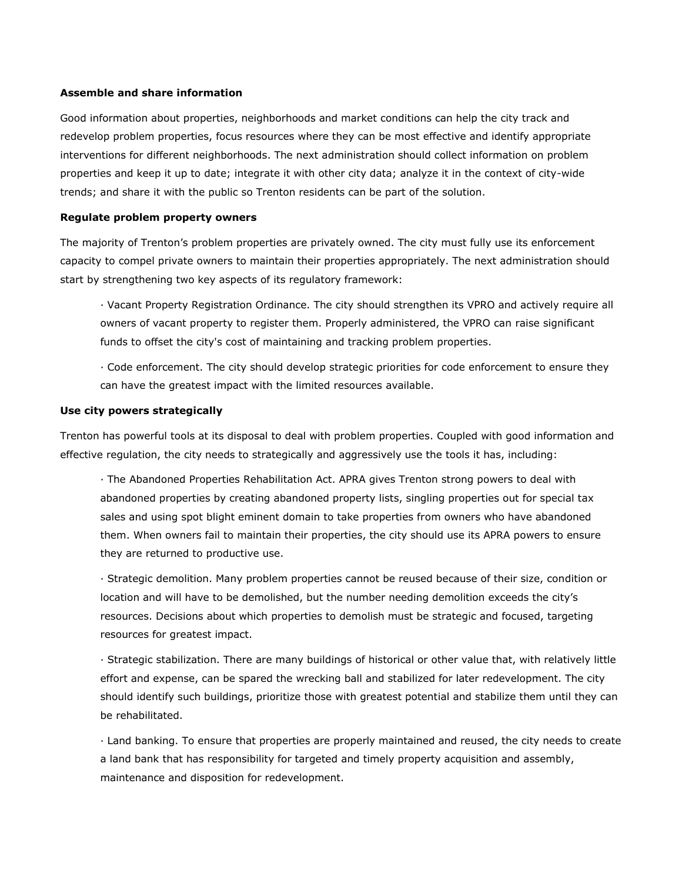#### **Assemble and share information**

Good information about properties, neighborhoods and market conditions can help the city track and redevelop problem properties, focus resources where they can be most effective and identify appropriate interventions for different neighborhoods. The next administration should collect information on problem properties and keep it up to date; integrate it with other city data; analyze it in the context of city-wide trends; and share it with the public so Trenton residents can be part of the solution.

#### **Regulate problem property owners**

The majority of Trenton's problem properties are privately owned. The city must fully use its enforcement capacity to compel private owners to maintain their properties appropriately. The next administration should start by strengthening two key aspects of its regulatory framework:

· Vacant Property Registration Ordinance. The city should strengthen its VPRO and actively require all owners of vacant property to register them. Properly administered, the VPRO can raise significant funds to offset the city's cost of maintaining and tracking problem properties.

· Code enforcement. The city should develop strategic priorities for code enforcement to ensure they can have the greatest impact with the limited resources available.

#### **Use city powers strategically**

Trenton has powerful tools at its disposal to deal with problem properties. Coupled with good information and effective regulation, the city needs to strategically and aggressively use the tools it has, including:

· The Abandoned Properties Rehabilitation Act. APRA gives Trenton strong powers to deal with abandoned properties by creating abandoned property lists, singling properties out for special tax sales and using spot blight eminent domain to take properties from owners who have abandoned them. When owners fail to maintain their properties, the city should use its APRA powers to ensure they are returned to productive use.

· Strategic demolition. Many problem properties cannot be reused because of their size, condition or location and will have to be demolished, but the number needing demolition exceeds the city's resources. Decisions about which properties to demolish must be strategic and focused, targeting resources for greatest impact.

· Strategic stabilization. There are many buildings of historical or other value that, with relatively little effort and expense, can be spared the wrecking ball and stabilized for later redevelopment. The city should identify such buildings, prioritize those with greatest potential and stabilize them until they can be rehabilitated.

· Land banking. To ensure that properties are properly maintained and reused, the city needs to create a land bank that has responsibility for targeted and timely property acquisition and assembly, maintenance and disposition for redevelopment.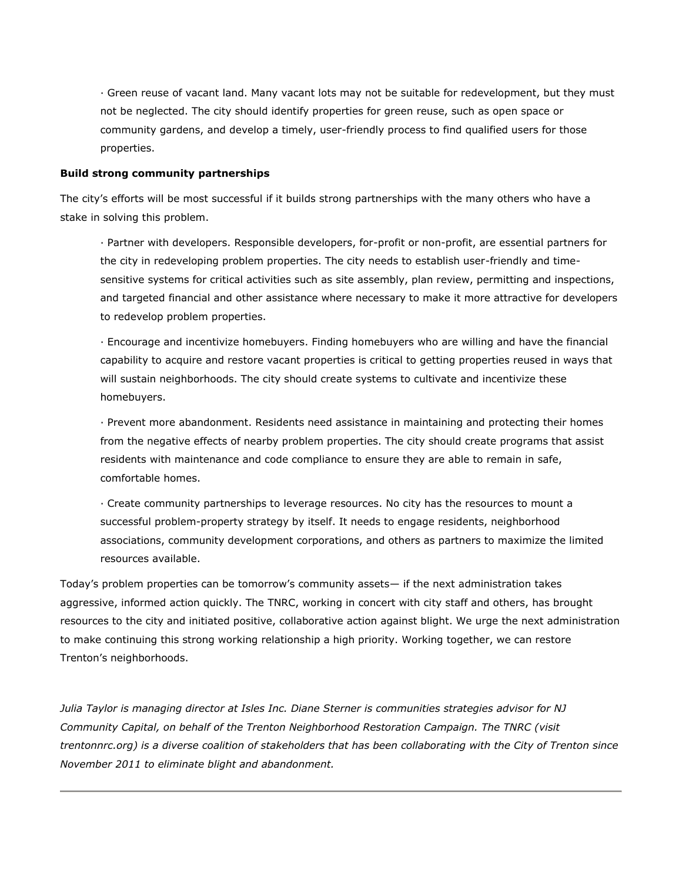· Green reuse of vacant land. Many vacant lots may not be suitable for redevelopment, but they must not be neglected. The city should identify properties for green reuse, such as open space or community gardens, and develop a timely, user-friendly process to find qualified users for those properties.

### **Build strong community partnerships**

The city's efforts will be most successful if it builds strong partnerships with the many others who have a stake in solving this problem.

· Partner with developers. Responsible developers, for-profit or non-profit, are essential partners for the city in redeveloping problem properties. The city needs to establish user-friendly and timesensitive systems for critical activities such as site assembly, plan review, permitting and inspections, and targeted financial and other assistance where necessary to make it more attractive for developers to redevelop problem properties.

· Encourage and incentivize homebuyers. Finding homebuyers who are willing and have the financial capability to acquire and restore vacant properties is critical to getting properties reused in ways that will sustain neighborhoods. The city should create systems to cultivate and incentivize these homebuyers.

· Prevent more abandonment. Residents need assistance in maintaining and protecting their homes from the negative effects of nearby problem properties. The city should create programs that assist residents with maintenance and code compliance to ensure they are able to remain in safe, comfortable homes.

· Create community partnerships to leverage resources. No city has the resources to mount a successful problem-property strategy by itself. It needs to engage residents, neighborhood associations, community development corporations, and others as partners to maximize the limited resources available.

Today's problem properties can be tomorrow's community assets— if the next administration takes aggressive, informed action quickly. The TNRC, working in concert with city staff and others, has brought resources to the city and initiated positive, collaborative action against blight. We urge the next administration to make continuing this strong working relationship a high priority. Working together, we can restore Trenton's neighborhoods.

*Julia Taylor is managing director at Isles Inc. Diane Sterner is communities strategies advisor for NJ Community Capital, on behalf of the Trenton Neighborhood Restoration Campaign. The TNRC (visit trentonnrc.org) is a diverse coalition of stakeholders that has been collaborating with the City of Trenton since November 2011 to eliminate blight and abandonment.*